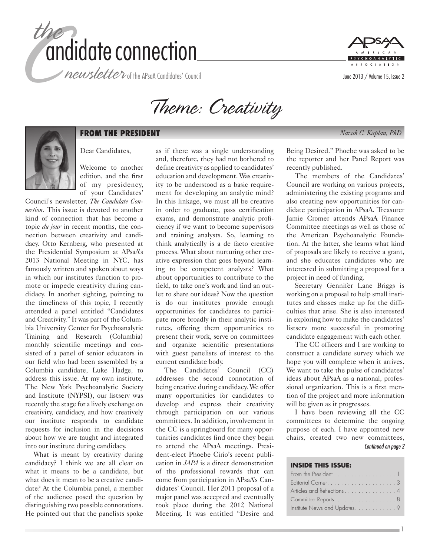



Theme: Creativity



# **FROM THE PRESIDENT** *Navah C. Kaplan, PhD*

Dear Candidates,

Welcome to another edition, and the first of my presidency, of your Candidates'

Council's newsletter, *The Candidate Connection*. This issue is devoted to another kind of connection that has become a topic *du jour* in recent months, the connection between creativity and candidacy. Otto Kernberg, who presented at the Presidential Symposium at APsaA's 2013 National Meeting in NYC, has famously written and spoken about ways in which our institutes function to promote or impede creativity during candidacy. In another sighting, pointing to the timeliness of this topic, I recently attended a panel entitled "Candidates and Creativity." It was part of the Columbia University Center for Psychoanalytic Training and Research (Columbia) monthly scientific meetings and consisted of a panel of senior educators in our field who had been assembled by a Columbia candidate, Luke Hadge, to address this issue. At my own institute, The New York Psychoanalytic Society and Institute (NYPSI), our listserv was recently the stage for a lively exchange on creativity, candidacy, and how creatively our institute responds to candidate requests for inclusion in the decisions about how we are taught and integrated into our institute during candidacy.

What is meant by creativity during candidacy? I think we are all clear on what it means to be a candidate, but what does it mean to be a creative candidate? At the Columbia panel, a member of the audience posed the question by distinguishing two possible connotations. He pointed out that the panelists spoke

as if there was a single understanding and, therefore, they had not bothered to define creativity as applied to candidates' education and development. Was creativity to be understood as a basic requirement for developing an analytic mind? In this linkage, we must all be creative in order to graduate, pass certification exams, and demonstrate analytic proficiency if we want to become supervisors and training analysts. So, learning to think analytically is a de facto creative process. What about nurturing other creative expression that goes beyond learning to be competent analysts? What about opportunities to contribute to the field, to take one's work and find an outlet to share our ideas? Now the question is do our institutes provide enough opportunities for candidates to participate more broadly in their analytic institutes, offering them opportunities to present their work, serve on committees and organize scientific presentations with guest panelists of interest to the current candidate body.

The Candidates' Council (CC) addresses the second connotation of being creative during candidacy. We offer many opportunities for candidates to develop and express their creativity through participation on our various committees. In addition, involvement in the CC is a springboard for many opportunities candidates find once they begin to attend the APsaA meetings. President-elect Phoebe Cirio's recent publication in *JAPA* is a direct demonstration of the professional rewards that can come from participation in APsaA's Candidates' Council. Her 2011 proposal of a major panel was accepted and eventually took place during the 2012 National Meeting. It was entitled "Desire and Being Desired." Phoebe was asked to be the reporter and her Panel Report was recently published.

The members of the Candidates' Council are working on various projects, administering the existing programs and also creating new opportunities for candidate participation in APsaA. Treasurer Jamie Cromer attends APsaA Finance Committee meetings as well as those of the American Psychoanalytic Foundation. At the latter, she learns what kind of proposals are likely to receive a grant, and she educates candidates who are interested in submitting a proposal for a project in need of funding.

Secretary Gennifer Lane Briggs is working on a proposal to help small institutes and classes make up for the difficulties that arise. She is also interested in exploring how to make the candidates' listserv more successful in promoting candidate engagement with each other.

The CC officers and I are working to construct a candidate survey which we hope you will complete when it arrives. We want to take the pulse of candidates' ideas about APsaA as a national, professional organization. This is a first mention of the project and more information will be given as it progresses.

I have been reviewing all the CC committees to determine the ongoing purpose of each. I have appointed new chairs, created two new committees, *Continued on page 2*

#### **INSIDE THIS ISSUE:**

| From the President 1        |  |
|-----------------------------|--|
|                             |  |
| Articles and Reflections4   |  |
| Committee Reports8          |  |
| Institute News and Updates9 |  |

1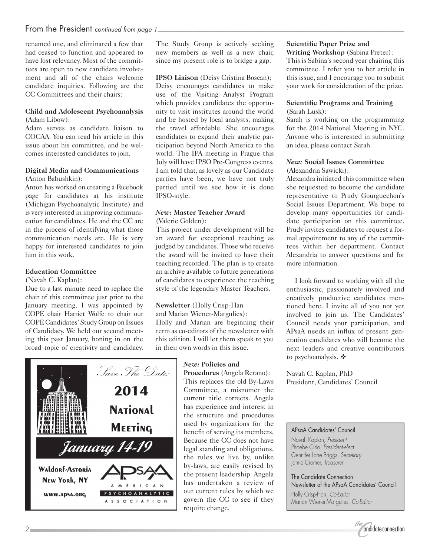# From the President *continued from page 1\_*

renamed one, and eliminated a few that had ceased to function and appeared to have lost relevancy. Most of the committees are open to new candidate involvement and all of the chairs welcome candidate inquiries. Following are the CC Committees and their chairs:

#### **Child and Adolescent Psychoanalysis** (Adam Libow):

Adam serves as candidate liaison to COCAA. You can read his article in this issue about his committee, and he welcomes interested candidates to join.

#### **Digital Media and Communications** (Anton Babushkin):

Anton has worked on creating a Facebook page for candidates at his institute (Michigan Psychoanalytic Institute) and is very interested in improving communication for candidates. He and the CC are in the process of identifying what those communication needs are. He is very happy for interested candidates to join him in this work.

## **Education Committee**

(Navah C. Kaplan):

Due to a last minute need to replace the chair of this committee just prior to the January meeting, I was appointed by COPE chair Harriet Wolfe to chair our COPE Candidates' Study Group on Issues of Candidacy. We held our second meeting this past January, honing in on the broad topic of creativity and candidacy. The Study Group is actively seeking new members as well as a new chair, since my present role is to bridge a gap.

**IPSO Liaison** (Deisy Cristina Boscan): Deisy encourages candidates to make use of the Visiting Analyst Program which provides candidates the opportunity to visit institutes around the world and be hosted by local analysts, making the travel affordable. She encourages candidates to expand their analytic participation beyond North America to the world. The IPA meeting in Prague this July will have IPSO Pre-Congress events. I am told that, as lovely as our Candidate parties have been, we have not truly partied until we see how it is done IPSO-style.

#### *New:* **Master Teacher Award** (Valerie Golden):

This project under development will be an award for exceptional teaching as judged by candidates. Those who receive the award will be invited to have their teaching recorded. The plan is to create an archive available to future generations of candidates to experience the teaching style of the legendary Master Teachers.

#### **Newsletter** (Holly Crisp-Han

and Marian Wiener-Margulies): Holly and Marian are beginning their term as co-editors of the newsletter with this edition. I will let them speak to you in their own words in this issue.



#### *New:* **Policies and Procedures** (Angela Retano):

This replaces the old By-Laws Committee, a misnomer the current title corrects. Angela has experience and interest in the structure and procedures used by organizations for the benefit of serving its members. Because the CC does not have legal standing and obligations, the rules we live by, unlike by-laws, are easily revised by the present leadership. Angela has undertaken a review of our current rules by which we govern the CC to see if they require change.

# **Scientific Paper Prize and**

**Writing Workshop** (Sabina Preter): This is Sabina's second year chairing this committee. I refer you to her article in this issue, and I encourage you to submit your work for consideration of the prize.

#### **Scientific Programs and Training** (Sarah Lusk):

Sarah is working on the programming for the 2014 National Meeting in NYC. Anyone who is interested in submitting an idea, please contact Sarah.

#### *New:* **Social Issues Committee** (Alexandria Sawicki):

Alexandra initiated this committee when she requested to become the candidate representative to Prudy Gourguechon's Social Issues Department. We hope to develop many opportunities for candidate participation on this committee. Prudy invites candidates to request a formal appointment to any of the committees within her department. Contact Alexandria to answer questions and for more information.

I look forward to working with all the enthusiastic, passionately involved and creatively productive candidates mentioned here. I invite all of you not yet involved to join us. The Candidates' Council needs your participation, and APsaA needs an influx of present generation candidates who will become the next leaders and creative contributors to psychoanalysis.  $\triangle$ 

Navah C. Kaplan, PhD President, Candidates' Council

APsaA Candidates' Council Navah Kaplan, *President* Phoebe Cirio, *President-elect* Gennifer Lane Briggs, *Secretary* Jamie Cromer, *Treasurer*

The Candidate Connection Newsletter of the APsaA Candidates' Council Holly Crisp-Han, *Co-Editor* Marian Wiener-Margulies, *Co-Editor*

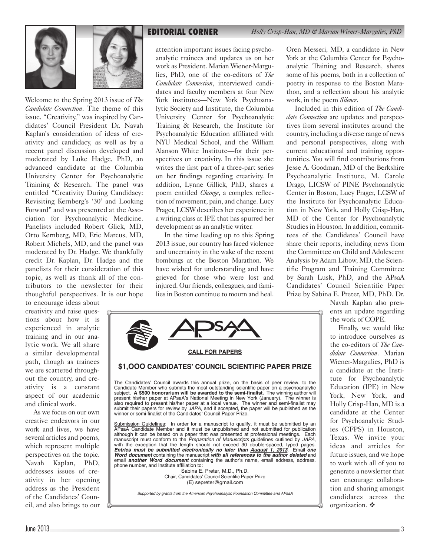



Welcome to the Spring 2013 issue of *The Candidate Connection*. The theme of this issue, "Creativity," was inspired by Candidates' Council President Dr. Navah Kaplan's consideration of ideas of creativity and candidacy, as well as by a recent panel discussion developed and moderated by Luke Hadge, PhD, an advanced candidate at the Columbia University Center for Psychoanalytic Training & Research. The panel was entitled "Creativity During Candidacy: Revisiting Kernberg's '30' and Looking Forward" and was presented at the Association for Psychoanalytic Medicine. Panelists included Robert Glick, MD, Otto Kernberg, MD, Eric Marcus, MD, Robert Michels, MD, and the panel was moderated by Dr. Hadge. We thankfully credit Dr. Kaplan, Dr. Hadge and the panelists for their consideration of this topic, as well as thank all of the contributors to the newsletter for their thoughtful perspectives. It is our hope

to encourage ideas about creativity and raise questions about how it is experienced in analytic training and in our analytic work. We all share a similar developmental path, though as trainees we are scattered throughout the country, and creativity is a constant aspect of our academic and clinical work.

As we focus on our own creative endeavors in our work and lives, we have several articles and poems, which represent multiple perspectives on the topic. Navah Kaplan, PhD, addresses issues of creativity in her opening address as the President of the Candidates' Council, and also brings to our

**EDITORIAL CORNER** *Holly Crisp-Han, MD & Marian Wiener-Margulies, PhD*

attention important issues facing psychoanalytic trainees and updates us on her work as President. Marian Wiener-Margulies, PhD, one of the co-editors of *The Candidate Connection*, interviewed candidates and faculty members at four New York institutes—New York Psychoanalytic Society and Institute, the Columbia University Center for Psychoanalytic Training & Research, the Institute for Psychoanalytic Education affiliated with NYU Medical School, and the William Alanson White Institute—for their perspectives on creativity. In this issue she writes the first part of a three-part series on her findings regarding creativity. In addition, Lynne Gillick, PhD, shares a poem entitled *Change*, a complex reflection of movement, pain, and change. Lucy Prager, LCSW describes her experience in a writing class at IPE that has spurred her development as an analytic writer.

In the time leading up to this Spring 2013 issue, our country has faced violence and uncertainty in the wake of the recent bombings at the Boston Marathon. We have wished for understanding and have grieved for those who were lost and injured. Our friends, colleagues, and families in Boston continue to mourn and heal.

Oren Messeri, MD, a candidate in New York at the Columbia Center for Psychoanalytic Training and Research, shares some of his poems, both in a collection of poetry in response to the Boston Marathon, and a reflection about his analytic work, in the poem *Silence*.

Included in this edition of *The Candidate Connection* are updates and perspectives from several institutes around the country, including a diverse range of news and personal perspectives, along with current educational and training opportunities. You will find contributions from Jesse A. Goodman, MD of the Berkshire Psychoanalytic Institute, M. Carole Drago, LICSW of PINE Psychoanalytic Center in Boston, Lucy Prager, LCSW of the Institute for Psychoanalytic Education in New York, and Holly Crisp-Han, MD of the Center for Psychoanalytic Studies in Houston. In addition, committees of the Candidates' Council have share their reports, including news from the Committee on Child and Adolescent Analysis by Adam Libow, MD, the Scientific Program and Training Committee by Sarah Lusk, PhD, and the APsaA Candidates' Council Scientific Paper Prize by Sabina E. Preter, MD, PhD. Dr.

> Navah Kaplan also presents an update regarding the work of COPE.

> Finally, we would like to introduce ourselves as the co-editors of *The Candidate Connection*. Marian Wiener-Margulies, PhD is a candidate at the Institute for Psychoanalytic Education (IPE) in New York, New York, and Holly Crisp-Han, MD is a candidate at the Center for Psychoanalytic Studies (CFPS) in Houston, Texas. We invite your ideas and articles for future issues, and we hope to work with all of you to generate a newsletter that can encourage collaboration and sharing amongst candidates across the organization.  $\mathbf{\hat{z}}$



Chair, Candidates' Council Scientific Paper Prize (E) sepreter@gmail.com

Supported by grants from the American Psychoanalytic Foundation Committee and APsaA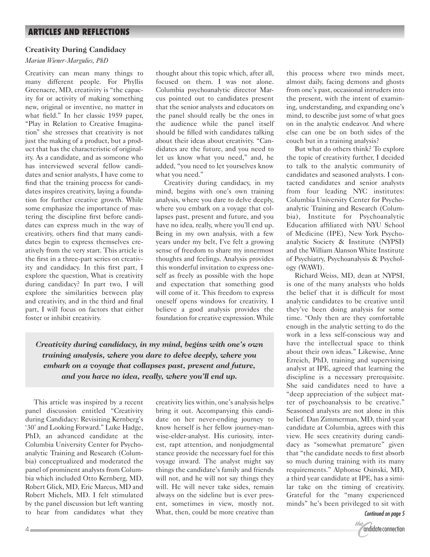# **Creativity During Candidacy**

## *Marian Wiener-Margulies, PhD*

Creativity can mean many things to many different people. For Phyllis Greenacre, MD, creativity is "the capacity for or activity of making something new, original or inventive, no matter in what field." In her classic 1959 paper, "Play in Relation to Creative Imagination" she stresses that creativity is not just the making of a product, but a product that has the characteristic of originality. As a candidate, and as someone who has interviewed several fellow candidates and senior analysts, I have come to find that the training process for candidates inspires creativity, laying a foundation for further creative growth. While some emphasize the importance of mastering the discipline first before candidates can express much in the way of creativity, others find that many candidates begin to express themselves creatively from the very start. This article is the first in a three-part series on creativity and candidacy. In this first part, I explore the question, What is creativity during candidacy? In part two, I will explore the similarities between play and creativity, and in the third and final part, I will focus on factors that either foster or inhibit creativity.

thought about this topic which, after all, focused on them. I was not alone. Columbia psychoanalytic director Marcus pointed out to candidates present that the senior analysts and educators on the panel should really be the ones in the audience while the panel itself should be filled with candidates talking about their ideas about creativity. "Candidates are the future, and you need to let us know what you need," and, he added, "you need to let yourselves know what you need."

Creativity during candidacy, in my mind, begins with one's own training analysis, where you dare to delve deeply, where you embark on a voyage that collapses past, present and future, and you have no idea, really, where you'll end up. Being in my own analysis, with a few years under my belt, I've felt a growing sense of freedom to share my innermost thoughts and feelings. Analysis provides this wonderful invitation to express oneself as freely as possible with the hope and expectation that something good will come of it. This freedom to express oneself opens windows for creativity. I believe a good analysis provides the foundation for creative expression. While

*Creativity during candidacy, in my mind, begins with one's own training analysis, where you dare to delve deeply, where you embark on a voyage that collapses past, present and future, and you have no idea, really, where you'll end up.*

This article was inspired by a recent panel discussion entitled "Creativity during Candidacy: Revisiting Kernberg's '30' and Looking Forward." Luke Hadge, PhD, an advanced candidate at the Columbia University Center for Psychoanalytic Training and Research (Columbia) conceptualized and moderated the panel of prominent analysts from Columbia which included Otto Kernberg, MD, Robert Glick, MD, Eric Marcus, MD and Robert Michels, MD. I felt stimulated by the panel discussion but left wanting to hear from candidates what they

creativity lies within, one's analysis helps bring it out. Accompanying this candidate on her never-ending journey to know herself is her fellow journey-manwise-elder-analyst. His curiosity, interest, rapt attention, and nonjudgmental stance provide the necessary fuel for this voyage inward. The analyst might say things the candidate's family and friends will not, and he will not say things they will. He will never take sides, remain always on the sideline but is ever present, sometimes in view, mostly not. What, then, could be more creative than this process where two minds meet, almost daily, facing demons and ghosts from one's past, occasional intruders into the present, with the intent of examining, understanding, and expanding one's mind, to describe just some of what goes on in the analytic endeavor. And where else can one be on both sides of the couch but in a training analysis?

But what do others think? To explore the topic of creativity further, I decided to talk to the analytic community of candidates and seasoned analysts. I contacted candidates and senior analysts from four leading NYC institutes: Columbia University Center for Psychoanalytic Training and Research (Columbia), Institute for Psychoanalytic Education affiliated with NYU School of Medicine (IPE), New York Psychoanalytic Society & Institute (NYPSI) and the William Alanson White Institute of Psychiatry, Psychoanalysis & Psychology (WAWI).

Richard Weiss, MD, dean at NYPSI, is one of the many analysts who holds the belief that it is difficult for most analytic candidates to be creative until they've been doing analysis for some time. "Only then are they comfortable enough in the analytic setting to do the work in a less self-conscious way and have the intellectual space to think about their own ideas." Likewise, Anne Erreich, PhD, training and supervising analyst at IPE, agreed that learning the discipline is a necessary prerequisite. She said candidates need to have a "deep appreciation of the subject matter of psychoanalysis to be creative." Seasoned analysts are not alone in this belief. Dan Zimmerman, MD, third year candidate at Columbia, agrees with this view. He sees creativity during candidacy as "somewhat premature" given that "the candidate needs to first absorb so much during training with its many requirements." Alphonse Osinski, MD, a third year candidate at IPE, has a similar take on the timing of creativity. Grateful for the "many experienced minds" he's been privileged to sit with

*Continued on page 5*

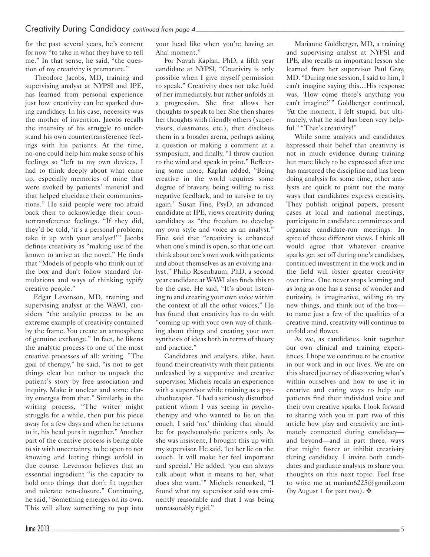for the past several years, he's content for now "to take in what they have to tell me." In that sense, he said, "the question of my creativity is premature."

Theodore Jacobs, MD, training and supervising analyst at NYPSI and IPE, has learned from personal experience just how creativity can be sparked during candidacy. In his case, necessity was the mother of invention. Jacobs recalls the intensity of his struggle to understand his own countertransference feelings with his patients. At the time, no-one could help him make sense of his feelings so "left to my own devices, I had to think deeply about what came up, especially memories of mine that were evoked by patients' material and that helped elucidate their communications." He said people were too afraid back then to acknowledge their countertransference feelings. "If they did, they'd be told, 'it's a personal problem; take it up with your analyst!'" Jacobs defines creativity as "making use of the known to arrive at the novel." He finds that "Models of people who think out of the box and don't follow standard formulations and ways of thinking typify creative people."

Edgar Levenson, MD, training and supervising analyst at the WAWI, considers "the analytic process to be an extreme example of creativity contained by the frame. You create an atmosphere of genuine exchange." In fact, he likens the analytic process to one of the most creative processes of all: writing. "The goal of therapy," he said, "is not to get things clear but rather to unpack the patient's story by free association and inquiry. Make it unclear and some clarity emerges from that." Similarly, in the writing process, "The writer might struggle for a while, then put his piece away for a few days and when he returns to it, his head puts it together." Another part of the creative process is being able to sit with uncertainty, to be open to not knowing and letting things unfold in due course. Levenson believes that an essential ingredient "is the capacity to hold onto things that don't fit together and tolerate non-closure." Continuing, he said, "Something emerges on its own. This will allow something to pop into

your head like when you're having an Aha! moment."

For Navah Kaplan, PhD, a fifth year candidate at NYPSl, "Creativity is only possible when I give myself permission to speak." Creativity does not take hold of her immediately, but rather unfolds in a progression. She first allows her thoughts to speak to her. She then shares her thoughts with friendly others (supervisors, classmates, etc.), then discloses them in a broader arena, perhaps asking a question or making a comment at a symposium, and finally, "I throw caution to the wind and speak in print." Reflecting some more, Kaplan added, "Being creative in the world requires some degree of bravery, being willing to risk negative feedback, and to survive to try again." Susan Fine, PsyD, an advanced candidate at IPE, views creativity during candidacy as "the freedom to develop my own style and voice as an analyst." Fine said that "creativity is enhanced when one's mind is open, so that one can think about one's own work with patients and about themselves as an evolving analyst." Philip Rosenbaum, PhD, a second year candidate at WAWI also finds this to be the case. He said, "It's about listening to and creating your own voice within the context of all the other voices," He has found that creativity has to do with "coming up with your own way of thinking about things and creating your own synthesis of ideas both in terms of theory and practice."

Candidates and analysts, alike, have found their creativity with their patients unleashed by a supportive and creative supervisor. Michels recalls an experience with a supervisor while training as a psychotherapist. "I had a seriously disturbed patient whom I was seeing in psychotherapy and who wanted to lie on the couch. I said 'no,' thinking that should be for psychoanalytic patients only. As she was insistent, I brought this up with my supervisor. He said, 'let her lie on the couch. It will make her feel important and special.' He added, 'you can always talk about what it means to her, what does she want.'" Michels remarked, "I found what my supervisor said was eminently reasonable and that I was being unreasonably rigid."

Marianne Goldberger, MD, a training and supervising analyst at NYPSI and IPE, also recalls an important lesson she learned from her supervisor Paul Gray, MD. "During one session, I said to him, I can't imagine saying this…His response was, 'How come there's anything you can't imagine?'" Goldberger continued, "At the moment, I felt stupid, but ultimately, what he said has been very helpful." "That's creativity!"

While some analysts and candidates expressed their belief that creativity is not in much evidence during training but more likely to be expressed after one has mastered the discipline and has been doing analysis for some time, other analysts are quick to point out the many ways that candidates express creativity. They publish original papers, present cases at local and national meetings, participate in candidate committees and organize candidate-run meetings. In spite of these different views, I think all would agree that whatever creative sparks get set off during one's candidacy, continued investment in the work and in the field will foster greater creativity over time. One never stops learning and as long as one has a sense of wonder and curiosity, is imaginative, willing to try new things, and think out of the box to name just a few of the qualities of a creative mind, creativity will continue to unfold and flower.

As we, as candidates, knit together our own clinical and training experiences, I hope we continue to be creative in our work and in our lives. We are on this shared journey of discovering what's within ourselves and how to use it in creative and caring ways to help our patients find their individual voice and their own creative sparks. I look forward to sharing with you in part two of this article how play and creativity are intimately connected during candidacy and beyond—and in part three, ways that might foster or inhibit creativity during candidacy. I invite both candidates and graduate analysts to share your thoughts on this next topic. Feel free to write me at marian6225@gmail.com (by August 1 for part two).  $\mathbf{\hat{v}}$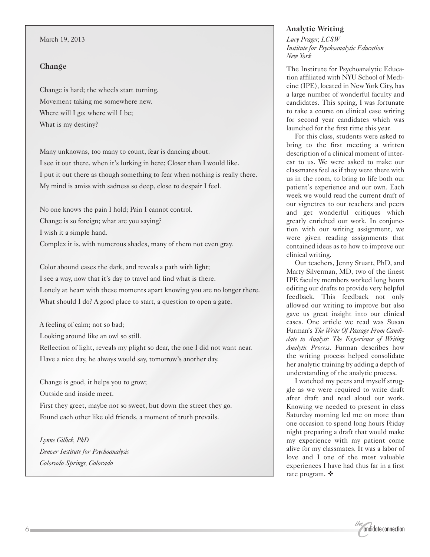#### March 19, 2013

#### **Change**

Change is hard; the wheels start turning. Movement taking me somewhere new. Where will I go; where will I be; What is my destiny?

Many unknowns, too many to count, fear is dancing about. I see it out there, when it's lurking in here; Closer than I would like. I put it out there as though something to fear when nothing is really there. My mind is amiss with sadness so deep, close to despair I feel.

No one knows the pain I hold; Pain I cannot control. Change is so foreign; what are you saying? I wish it a simple hand. Complex it is, with numerous shades, many of them not even gray.

Color abound eases the dark, and reveals a path with light; I see a way, now that it's day to travel and find what is there. Lonely at heart with these moments apart knowing you are no longer there. What should I do? A good place to start, a question to open a gate.

A feeling of calm; not so bad; Looking around like an owl so still. Reflection of light, reveals my plight so dear, the one I did not want near. Have a nice day, he always would say, tomorrow's another day.

Change is good, it helps you to grow; Outside and inside meet. First they greet, maybe not so sweet, but down the street they go. Found each other like old friends, a moment of truth prevails.

*Lynne Gillick, PhD Denver Institute for Psychoanalysis Colorado Springs, Colorado*

# **Analytic Writing**

*Lucy Prager, LCSW Institute for Psychoanalytic Education New York*

The Institute for Psychoanalytic Education affiliated with NYU School of Medicine (IPE), located in New York City, has a large number of wonderful faculty and candidates. This spring, I was fortunate to take a course on clinical case writing for second year candidates which was launched for the first time this year.

For this class, students were asked to bring to the first meeting a written description of a clinical moment of interest to us. We were asked to make our classmates feel as if they were there with us in the room, to bring to life both our patient's experience and our own. Each week we would read the current draft of our vignettes to our teachers and peers and get wonderful critiques which greatly enriched our work. In conjunction with our writing assignment, we were given reading assignments that contained ideas as to how to improve our clinical writing.

Our teachers, Jenny Stuart, PhD, and Marty Silverman, MD, two of the finest IPE faculty members worked long hours editing our drafts to provide very helpful feedback. This feedback not only allowed our writing to improve but also gave us great insight into our clinical cases. One article we read was Susan Furman's *The Write Of Passage From Candidate to Analyst: The Experience of Writing Analytic Process*. Furman describes how the writing process helped consolidate her analytic training by adding a depth of understanding of the analytic process.

I watched my peers and myself struggle as we were required to write draft after draft and read aloud our work. Knowing we needed to present in class Saturday morning led me on more than one occasion to spend long hours Friday night preparing a draft that would make my experience with my patient come alive for my classmates. It was a labor of love and I one of the most valuable experiences I have had thus far in a first rate program.  $\mathbf{\dot{\cdot}}$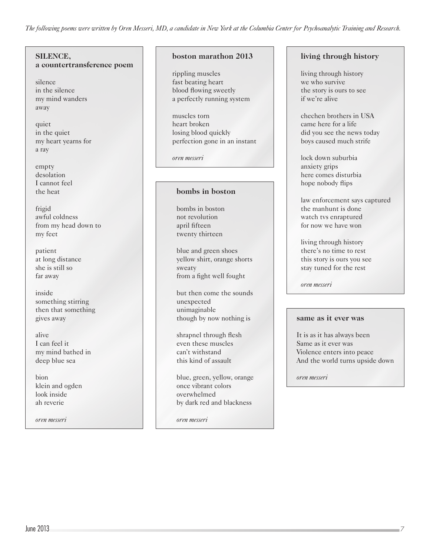*The following poems were written by Oren Messeri, MD, a candidate in New York at the Columbia Center for Psychoanalytic Training and Research.*

# **SILENCE, a countertransference poem**

silence in the silence my mind wanders away

quiet in the quiet my heart yearns for a ray

empty desolation I cannot feel the heat

frigid awful coldness from my head down to my feet

patient at long distance she is still so far away

inside something stirring then that something gives away

alive I can feel it my mind bathed in deep blue sea

bion klein and ogden look inside ah reverie

*oren messeri*

# **boston marathon 2013**

rippling muscles fast beating heart blood flowing sweetly a perfectly running system

muscles torn heart broken losing blood quickly perfection gone in an instant

*oren messeri*

## **bombs in boston**

bombs in boston not revolution april fifteen twenty thirteen

blue and green shoes yellow shirt, orange shorts sweaty from a fight well fought

but then come the sounds unexpected unimaginable though by now nothing is

shrapnel through flesh even these muscles can't withstand this kind of assault

blue, green, yellow, orange once vibrant colors overwhelmed by dark red and blackness

*oren messeri*

# **living through history**

living through history we who survive the story is ours to see if we're alive

chechen brothers in USA came here for a life did you see the news today boys caused much strife

lock down suburbia anxiety grips here comes disturbia hope nobody flips

law enforcement says captured the manhunt is done watch tvs enraptured for now we have won

living through history there's no time to rest this story is ours you see stay tuned for the rest

*oren messeri*

#### **same as it ever was**

It is as it has always been Same as it ever was Violence enters into peace And the world turns upside down

*oren messeri*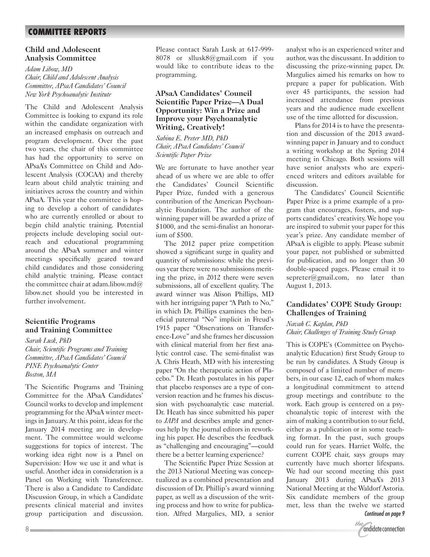# **COMMITTEE REPORTS**

# **Child and Adolescent Analysis Committee**

*Adam Libow, MD Chair, Child and Adolescent Analysis Committee, APsaA Candidates' Council New York Psychoanalytic Institute*

The Child and Adolescent Analysis Committee is looking to expand its role within the candidate organization with an increased emphasis on outreach and program development. Over the past two years, the chair of this committee has had the opportunity to serve on APsaA's Committee on Child and Adolescent Analysis (COCAA) and thereby learn about child analytic training and initiatives across the country and within APsaA. This year the committee is hoping to develop a cohort of candidates who are currently enrolled or about to begin child analytic training. Potential projects include developing social outreach and educational programming around the APsaA summer and winter meetings specifically geared toward child candidates and those considering child analytic training. Please contact the committee chair at adam.libow.md $@$ libow.net should you be interested in further involvement.

## **Scientific Programs and Training Committee**

*Sarah Lusk, PhD Chair, Scientific Programs and Training Committee, APsaA Candidates' Council PINE Psychoanalytic Center Boston, MA*

The Scientific Programs and Training Committee for the APsaA Candidates' Council works to develop and implement programming for the APsaA winter meetings in January. At this point, ideas for the January 2014 meeting are in development. The committee would welcome suggestions for topics of interest. The working idea right now is a Panel on Supervision: How we use it and what is useful. Another idea in consideration is a Panel on Working with Transference. There is also a Candidate to Candidate Discussion Group, in which a Candidate presents clinical material and invites group participation and discussion.

Please contact Sarah Lusk at 617-999- 8078 or sllusk8@gmail.com if you would like to contribute ideas to the programming.

## **APsaA Candidates' Council Scientific Paper Prize—A Dual Opportunity: Win a Prize and Improve your Psychoanalytic Writing, Creatively!**

*Sabina E. Preter MD, PhD Chair, APsaA Candidates' Council Scientific Paper Prize*

We are fortunate to have another year ahead of us where we are able to offer the Candidates' Council Scientific Paper Prize, funded with a generous contribution of the American Psychoanalytic Foundation. The author of the winning paper will be awarded a prize of \$1000, and the semi-finalist an honorarium of \$500.

The 2012 paper prize competition showed a significant surge in quality and quantity of submissions: while the previous year there were no submissions meriting the prize, in 2012 there were seven submissions, all of excellent quality. The award winner was Alison Phillips, MD with her intriguing paper "A Path to No," in which Dr. Phillips examines the beneficial paternal "No" implicit in Freud's 1915 paper "Observations on Transference-Love" and she frames her discussion with clinical material from her first analytic control case. The semi-finalist was A. Chris Heath, MD with his interesting paper "On the therapeutic action of Placebo." Dr. Heath postulates in his paper that placebo responses are a type of conversion reaction and he frames his discussion with psychoanalytic case material. Dr. Heath has since submitted his paper to *JAPA* and describes ample and generous help by the journal editors in reworking his paper. He describes the feedback as "challenging and encouraging"—could there be a better learning experience?

The Scientific Paper Prize Session at the 2013 National Meeting was conceptualized as a combined presentation and discussion of Dr. Phillip's award winning paper, as well as a discussion of the writing process and how to write for publication. Alfred Margulies, MD, a senior analyst who is an experienced writer and author, was the discussant. In addition to discussing the prize-winning paper, Dr. Margulies aimed his remarks on how to prepare a paper for publication. With over 45 participants, the session had increased attendance from previous years and the audience made excellent use of the time allotted for discussion.

Plans for 2014 is to have the presentation and discussion of the 2013 awardwinning paper in January and to conduct a writing workshop at the Spring 2014 meeting in Chicago. Both sessions will have senior analysts who are experienced writers and editors available for discussion.

The Candidates' Council Scientific Paper Prize is a prime example of a program that encourages, fosters, and supports candidates' creativity. We hope you are inspired to submit your paper for this year's prize. Any candidate member of APsaA is eligible to apply. Please submit your paper, not published or submitted for publication, and no longer than 30 double-spaced pages. Please email it to sepreter@gmail.com, no later than August 1, 2013.

# **Candidates' COPE Study Group: Challenges of Training**

*Navah C. Kaplan, PhD Chair, Challenges of Training Study Group*

This is COPE's (Committee on Psychoanalytic Education) first Study Group to be run by candidates. A Study Group is composed of a limited number of members, in our case 12, each of whom makes a longitudinal commitment to attend group meetings and contribute to the work. Each group is centered on a psychoanalytic topic of interest with the aim of making a contribution to our field, either as a publication or in some teaching format. In the past, such groups could run for years. Harriet Wolfe, the current COPE chair, says groups may currently have much shorter lifespans. We had our second meeting this past January 2013 during APsaA's 2013 National Meeting at the Waldorf Astoria. Six candidate members of the group met, less than the twelve we started *Continued on page 9*

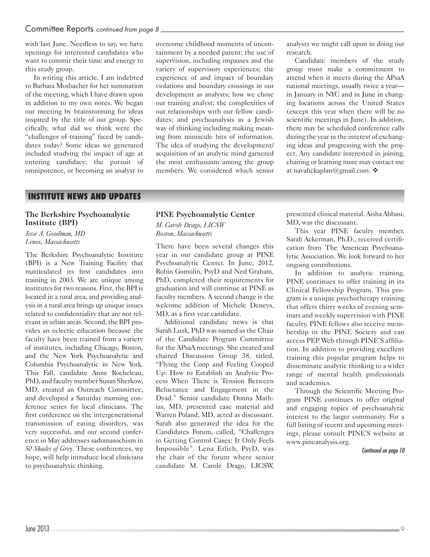with last June. Needless to say, we have openings for interested candidates who want to commit their time and energy to this study group.

In writing this article, I am indebted to Barbara Mosbacher for her summation of the meeting, which I have drawn upon in addition to my own notes. We began our meeting by brainstorming for ideas inspired by the title of our group. Specifically, what did we think were the "challenges of training" faced by candidates today? Some ideas we generated included studying the impact of age at entering candidacy; the pursuit of omnipotence, or becoming an analyst to

overcome childhood moments of uncontainment by a needed parent; the use of supervision, including impasses and the variety of supervisory experiences; the experience of and impact of boundary violations and boundary crossings in our development as analysts; how we chose our training analyst; the complexities of our relationships with our fellow candidates; and psychoanalysis as a Jewish way of thinking including making meaning from miniscule bits of information. The idea of studying the development/ acquisition of an analytic mind garnered the most enthusiasm among the group members. We considered which senior

analysts we might call upon in doing our research.

Candidate members of the study group must make a commitment to attend when it meets during the APsaA national meetings, usually twice a year in January in NYC and in June in changing locations across the United States (except this year when there will be no scientific meetings in June). In addition, there may be scheduled conference calls during the year in the interest of exchanging ideas and progressing with the project. Any candidate interested in joining, chairing or learning more may contact me at navahckaplan@gmail.com.  $\clubsuit$ 

# **INSTITUTE NEWS AND UPDATES**

# **The Berkshire Psychoanalytic Institute (BPI)**

*Jesse A. Goodman, MD Lenox, Massachusetts*

The Berkshire Psychoanalytic Institute (BPI) is a New Training Facility that matriculated its first candidates into training in 2003. We are unique among institutes for two reasons. First, the BPI is located in a rural area, and providing analysis in a rural area brings up unique issues related to confidentiality that are not relevant in urban areas. Second, the BPI provides an eclectic education because the faculty have been trained from a variety of institutes, including Chicago, Boston, and the New York Psychoanalytic and Columbia Psychoanalytic in New York. This Fall, candidate Anne Rocheleau, PhD, and faculty member Susan Sherkow, MD, created an Outreach Committee, and developed a Saturday morning conference series for local clinicians. The first conference on the intergenerational transmission of eating disorders, was very successful, and our second conference in May addresses sadomasochism in *50 Shades of Grey*. These conferences, we hope, will help introduce local clinicians to psychoanalytic thinking.

# **PINE Psychoanalytic Center**

*M. Carole Drago, LICSW Boston, Massachusetts*

There have been several changes this year in our candidate group at PINE Psychoanalytic Center. In June, 2012, Robin Gomolin, PsyD and Ned Graham, PhD, completed their requirements for graduation and will continue at PINE as faculty members. A second change is the welcome addition of Michele Deneys, MD, as a first year candidate.

Additional candidate news is that Sarah Lusk, PhD was named as the Chair of the Candidate Program Committee for the APsaA meetings. She created and chaired Discussion Group 38, titled, "Flying the Coop and Feeling Cooped Up: How to Establish an Analytic Process When There is Tension Between Reluctance and Engagement in the Dyad." Senior candidate Donna Mathias, MD, presented case material and Warren Poland, MD, acted as discussant. Sarah also generated the idea for the Candidates Forum, called, "Challenges in Getting Control Cases: It Only Feels Impossible". Lena Erlich, PsyD, was the chair of the forum where senior candidate M. Carole Drago, LICSW,

presented clinical material. Aisha Abbasi, MD, was the discussant.

This year PINE faculty member, Sarah Ackerman, Ph.D., received certification from The American Psychoanalytic Association. We look forward to her ongoing contributions.

In addition to analytic training, PINE continues to offer training in its Clinical Fellowship Program. This program is a unique psychotherapy training that offers thirty weeks of evening seminars and weekly supervision with PINE faculty. PINE fellows also receive membership in the PINE Society and can access PEP Web through PINE'S affiliation. In addition to providing excellent training this popular program helps to disseminate analytic thinking to a wider range of mental health professionals and academics.

Through the Scientific Meeting Program PINE continues to offer original and engaging topics of psychoanalytic interest to the larger community. For a full listing of recent and upcoming meetings, please consult PINE'S website at www.pineanalysis.org.

*Continued on page 10*